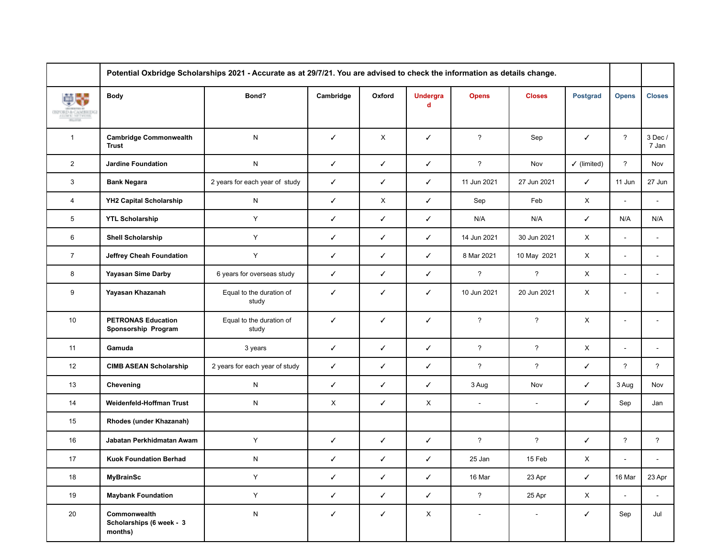|                            | Potential Oxbridge Scholarships 2021 - Accurate as at 29/7/21. You are advised to check the information as details change. |                                   |              |              |                                |                          |                |                        |                |                          |
|----------------------------|----------------------------------------------------------------------------------------------------------------------------|-----------------------------------|--------------|--------------|--------------------------------|--------------------------|----------------|------------------------|----------------|--------------------------|
| <b>RESED &amp; CAMBEDG</b> | <b>Body</b>                                                                                                                | Bond?                             | Cambridge    | Oxford       | <b>Undergra</b><br>$\mathbf d$ | <b>Opens</b>             | <b>Closes</b>  | <b>Postgrad</b>        | <b>Opens</b>   | <b>Closes</b>            |
| $\mathbf{1}$               | <b>Cambridge Commonwealth</b><br><b>Trust</b>                                                                              | N                                 | $\checkmark$ | X            | ✓                              | $\overline{?}$           | Sep            | $\checkmark$           | $\overline{?}$ | 3 Dec /<br>7 Jan         |
| $\overline{2}$             | <b>Jardine Foundation</b>                                                                                                  | N                                 | ✓            | ✓            | ✓                              | $\overline{?}$           | Nov            | $\checkmark$ (limited) | $\overline{?}$ | Nov                      |
| 3                          | <b>Bank Negara</b>                                                                                                         | 2 years for each year of study    | ✓            | $\checkmark$ | ✓                              | 11 Jun 2021              | 27 Jun 2021    | $\checkmark$           | 11 Jun         | 27 Jun                   |
| $\overline{4}$             | <b>YH2 Capital Scholarship</b>                                                                                             | N                                 | ✓            | X            | ✓                              | Sep                      | Feb            | X                      | $\sim$         | $\sim$                   |
| 5                          | <b>YTL Scholarship</b>                                                                                                     | Y                                 | ✓            | $\checkmark$ | ✓                              | N/A                      | N/A            | $\checkmark$           | N/A            | N/A                      |
| 6                          | <b>Shell Scholarship</b>                                                                                                   | Y                                 | $\checkmark$ | $\checkmark$ | ✓                              | 14 Jun 2021              | 30 Jun 2021    | X                      | ÷.             |                          |
| $\overline{7}$             | Jeffrey Cheah Foundation                                                                                                   | Y                                 | ✓            | $\checkmark$ | ✓                              | 8 Mar 2021               | 10 May 2021    | X                      | $\sim$         | $\sim$                   |
| 8                          | <b>Yayasan Sime Darby</b>                                                                                                  | 6 years for overseas study        | ✓            | $\checkmark$ | ✓                              | $\overline{?}$           | $\overline{?}$ | X                      | ÷              |                          |
| 9                          | Yayasan Khazanah                                                                                                           | Equal to the duration of<br>study | ✓            | ✓            | ✓                              | 10 Jun 2021              | 20 Jun 2021    | X                      | ٠              |                          |
| 10                         | <b>PETRONAS Education</b><br>Sponsorship Program                                                                           | Equal to the duration of<br>study | ✓            | ✓            | ✓                              | $\overline{?}$           | $\overline{?}$ | X                      | $\sim$         | $\blacksquare$           |
| 11                         | Gamuda                                                                                                                     | 3 years                           | ✓            | $\checkmark$ | ✓                              | $\overline{?}$           | $\overline{?}$ | X                      | $\blacksquare$ | $\overline{\phantom{a}}$ |
| 12                         | <b>CIMB ASEAN Scholarship</b>                                                                                              | 2 years for each year of study    | ✓            | $\checkmark$ | ✓                              | $\overline{?}$           | $\overline{?}$ | $\checkmark$           | $\overline{?}$ | $\overline{?}$           |
| 13                         | Chevening                                                                                                                  | N                                 | $\checkmark$ | $\checkmark$ | ✓                              | 3 Aug                    | Nov            | $\checkmark$           | 3 Aug          | Nov                      |
| 14                         | Weidenfeld-Hoffman Trust                                                                                                   | N                                 | X            | $\checkmark$ | X                              | $\mathcal{L}$            | $\sim$         | $\checkmark$           | Sep            | Jan                      |
| 15                         | Rhodes (under Khazanah)                                                                                                    |                                   |              |              |                                |                          |                |                        |                |                          |
| 16                         | Jabatan Perkhidmatan Awam                                                                                                  | Y                                 | ✓            | $\checkmark$ | ✓                              | $\overline{?}$           | $\overline{?}$ | $\checkmark$           | $\overline{?}$ | $\overline{?}$           |
| 17                         | <b>Kuok Foundation Berhad</b>                                                                                              | N                                 | ✓            | $\checkmark$ | ✓                              | 25 Jan                   | 15 Feb         | X                      |                |                          |
| 18                         | <b>MyBrainSc</b>                                                                                                           | Υ                                 | $\checkmark$ | $\checkmark$ | ✓                              | 16 Mar                   | 23 Apr         | ✓                      | 16 Mar         | 23 Apr                   |
| 19                         | <b>Maybank Foundation</b>                                                                                                  | $\mathsf Y$                       | $\checkmark$ | $\checkmark$ | ✓                              | $\overline{?}$           | 25 Apr         | X                      | $\blacksquare$ | $\sim$                   |
| $20\,$                     | Commonwealth<br>Scholarships (6 week - 3<br>months)                                                                        | ${\sf N}$                         | ✓            | $\checkmark$ | $\mathsf{X}$                   | $\overline{\phantom{a}}$ | $\sim$         | $\checkmark$           | Sep            | Jul                      |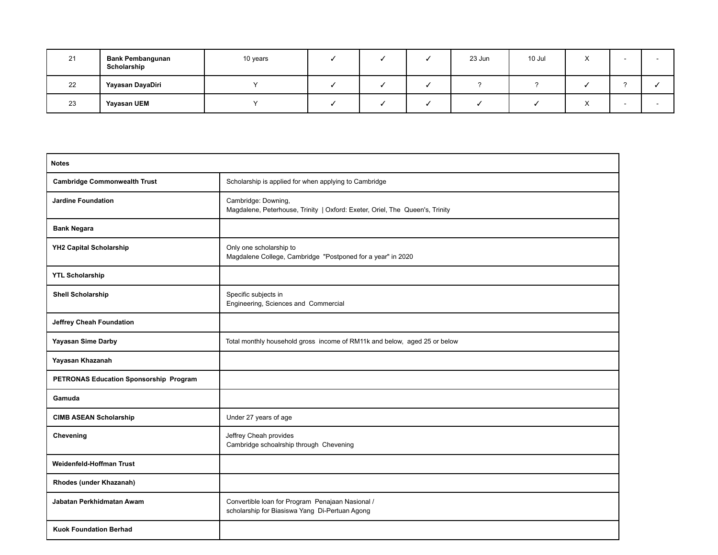| 21 | <b>Bank Pembangunan</b><br>Scholarship | 10 years |  | 23 Jun | 10 Jul |  |  |
|----|----------------------------------------|----------|--|--------|--------|--|--|
| 22 | Yayasan DayaDiri                       |          |  |        |        |  |  |
| 23 | <b>Yayasan UEM</b>                     |          |  |        |        |  |  |

| <b>Notes</b>                           |                                                                                                     |
|----------------------------------------|-----------------------------------------------------------------------------------------------------|
| <b>Cambridge Commonwealth Trust</b>    | Scholarship is applied for when applying to Cambridge                                               |
| <b>Jardine Foundation</b>              | Cambridge: Downing,<br>Magdalene, Peterhouse, Trinity   Oxford: Exeter, Oriel, The Queen's, Trinity |
| <b>Bank Negara</b>                     |                                                                                                     |
| YH2 Capital Scholarship                | Only one scholarship to<br>Magdalene College, Cambridge "Postponed for a year" in 2020              |
| <b>YTL Scholarship</b>                 |                                                                                                     |
| <b>Shell Scholarship</b>               | Specific subjects in<br>Engineering, Sciences and Commercial                                        |
| Jeffrey Cheah Foundation               |                                                                                                     |
| <b>Yayasan Sime Darby</b>              | Total monthly household gross income of RM11k and below, aged 25 or below                           |
| Yayasan Khazanah                       |                                                                                                     |
| PETRONAS Education Sponsorship Program |                                                                                                     |
| Gamuda                                 |                                                                                                     |
| <b>CIMB ASEAN Scholarship</b>          | Under 27 years of age                                                                               |
| Chevening                              | Jeffrey Cheah provides<br>Cambridge schoalrship through Chevening                                   |
| Weidenfeld-Hoffman Trust               |                                                                                                     |
| Rhodes (under Khazanah)                |                                                                                                     |
| Jabatan Perkhidmatan Awam              | Convertible Ioan for Program Penajaan Nasional /<br>scholarship for Biasiswa Yang Di-Pertuan Agong  |
| <b>Kuok Foundation Berhad</b>          |                                                                                                     |